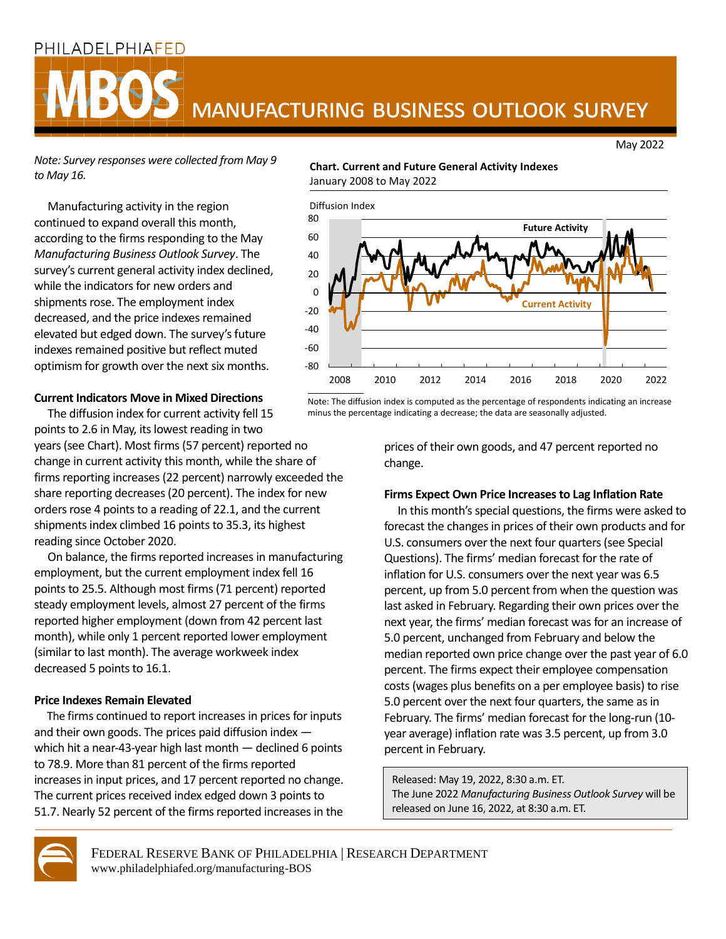## PHILADELPHIAFED

# MANUFACTURING BUSINESS OUTLOOK SURVEY

May 2022

*Note: Survey responses were collected from May 9 to May 16.*

 Manufacturing activity in the region continued to expand overall this month, according to the firms responding to the May *Manufacturing Business Outlook Survey*. The survey's current general activity index declined, while the indicators for new orders and shipments rose. The employment index decreased, and the price indexes remained elevated but edged down. The survey's future indexes remained positive but reflect muted optimism for growth over the next six months.

### **Current Indicators Move in Mixed Directions**

 The diffusion index for current activity fell 15 points to 2.6 in May, its lowest reading in two years(see Chart). Most firms (57 percent) reported no change in current activity this month, while the share of firms reporting increases (22 percent) narrowly exceeded the share reporting decreases (20 percent). The index for new orders rose 4 points to a reading of 22.1, and the current shipments index climbed 16 points to 35.3, its highest reading since October 2020.

 On balance, the firms reported increases in manufacturing employment, but the current employment index fell 16 points to 25.5. Although most firms (71 percent) reported steady employment levels, almost 27 percent of the firms reported higher employment (down from 42 percent last month), while only 1 percent reported lower employment (similar to last month). The average workweek index decreased 5 points to 16.1.

#### **Price Indexes Remain Elevated**

 The firms continued to report increases in prices for inputs and their own goods. The prices paid diffusion index which hit a near-43-year high last month — declined 6 points to 78.9. More than 81 percent of the firms reported increases in input prices, and 17 percent reported no change. The current prices received index edged down 3 points to 51.7. Nearly 52 percent of the firms reported increases in the

#### **Chart. Current and Future General Activity Indexes** January 2008 to May 2022



Note: The diffusion index is computed as the percentage of respondents indicating an increase minus the percentage indicating a decrease; the data are seasonally adjusted.

> prices of their own goods, and 47 percent reported no change.

#### **Firms Expect Own Price Increases to Lag Inflation Rate**

In this month's special questions, the firms were asked to forecast the changes in prices of their own products and for U.S. consumers over the next four quarters(see Special Questions). The firms' median forecast for the rate of inflation for U.S. consumers over the next year was 6.5 percent, up from 5.0 percent from when the question was last asked in February. Regarding their own prices over the next year, the firms' median forecast was for an increase of 5.0 percent, unchanged from February and below the median reported own price change over the past year of 6.0 percent. The firms expect their employee compensation costs (wages plus benefits on a per employee basis) to rise 5.0 percent over the next four quarters, the same as in February. The firms' median forecast for the long-run (10 year average) inflation rate was 3.5 percent, up from 3.0 percent in February.

Released: May 19, 2022, 8:30 a.m. ET. The June 2022 *Manufacturing Business Outlook Survey* will be released on June 16, 2022, at 8:30 a.m. ET.



FEDERAL RESERVE BANK OF PHILADELPHIA | RESEARCH DEPARTMENT www.philadelphiafed.org/manufacturing-BOS